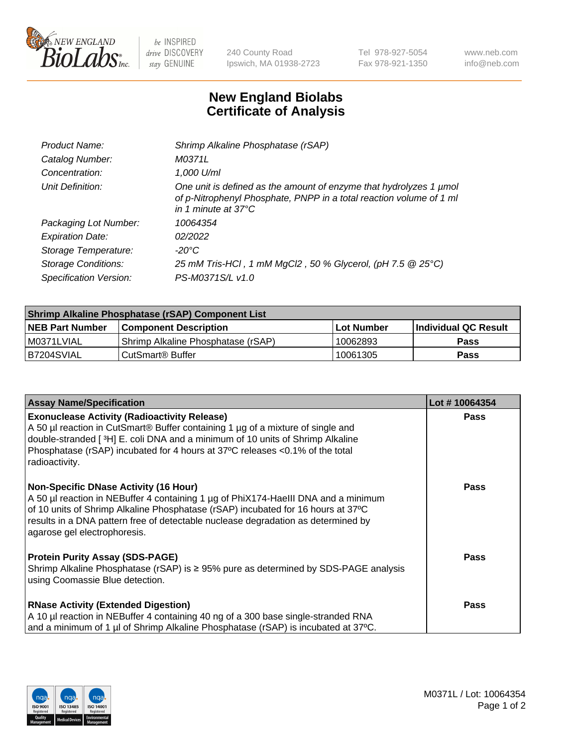

 $be$  INSPIRED drive DISCOVERY stay GENUINE

240 County Road Ipswich, MA 01938-2723 Tel 978-927-5054 Fax 978-921-1350 www.neb.com info@neb.com

## **New England Biolabs Certificate of Analysis**

| Product Name:           | Shrimp Alkaline Phosphatase (rSAP)                                                                                                                                         |
|-------------------------|----------------------------------------------------------------------------------------------------------------------------------------------------------------------------|
| Catalog Number:         | M0371L                                                                                                                                                                     |
| Concentration:          | 1,000 U/ml                                                                                                                                                                 |
| Unit Definition:        | One unit is defined as the amount of enzyme that hydrolyzes 1 µmol<br>of p-Nitrophenyl Phosphate, PNPP in a total reaction volume of 1 ml<br>in 1 minute at $37^{\circ}$ C |
| Packaging Lot Number:   | 10064354                                                                                                                                                                   |
| <b>Expiration Date:</b> | 02/2022                                                                                                                                                                    |
| Storage Temperature:    | $-20^{\circ}$ C                                                                                                                                                            |
| Storage Conditions:     | 25 mM Tris-HCl, 1 mM MgCl2, 50 % Glycerol, (pH 7.5 @ 25°C)                                                                                                                 |
| Specification Version:  | PS-M0371S/L v1.0                                                                                                                                                           |

| Shrimp Alkaline Phosphatase (rSAP) Component List |                                    |                   |                      |  |  |
|---------------------------------------------------|------------------------------------|-------------------|----------------------|--|--|
| <b>NEB Part Number</b>                            | <b>Component Description</b>       | <b>Lot Number</b> | Individual QC Result |  |  |
| I M0371LVIAL                                      | Shrimp Alkaline Phosphatase (rSAP) | 10062893          | <b>Pass</b>          |  |  |
| B7204SVIAL                                        | CutSmart® Buffer                   | 10061305          | Pass                 |  |  |

| <b>Assay Name/Specification</b>                                                                                                                                                                                                                                                                                                             | Lot #10064354 |
|---------------------------------------------------------------------------------------------------------------------------------------------------------------------------------------------------------------------------------------------------------------------------------------------------------------------------------------------|---------------|
| <b>Exonuclease Activity (Radioactivity Release)</b><br>A 50 µl reaction in CutSmart® Buffer containing 1 µg of a mixture of single and<br>double-stranded [3H] E. coli DNA and a minimum of 10 units of Shrimp Alkaline<br>Phosphatase (rSAP) incubated for 4 hours at 37°C releases <0.1% of the total<br>radioactivity.                   | Pass          |
| <b>Non-Specific DNase Activity (16 Hour)</b><br>A 50 µl reaction in NEBuffer 4 containing 1 µg of PhiX174-HaeIII DNA and a minimum<br>of 10 units of Shrimp Alkaline Phosphatase (rSAP) incubated for 16 hours at 37°C<br>results in a DNA pattern free of detectable nuclease degradation as determined by<br>agarose gel electrophoresis. | Pass          |
| <b>Protein Purity Assay (SDS-PAGE)</b><br>Shrimp Alkaline Phosphatase (rSAP) is ≥ 95% pure as determined by SDS-PAGE analysis<br>using Coomassie Blue detection.                                                                                                                                                                            | <b>Pass</b>   |
| <b>RNase Activity (Extended Digestion)</b><br>A 10 µl reaction in NEBuffer 4 containing 40 ng of a 300 base single-stranded RNA<br>and a minimum of 1 µl of Shrimp Alkaline Phosphatase (rSAP) is incubated at 37°C.                                                                                                                        | <b>Pass</b>   |